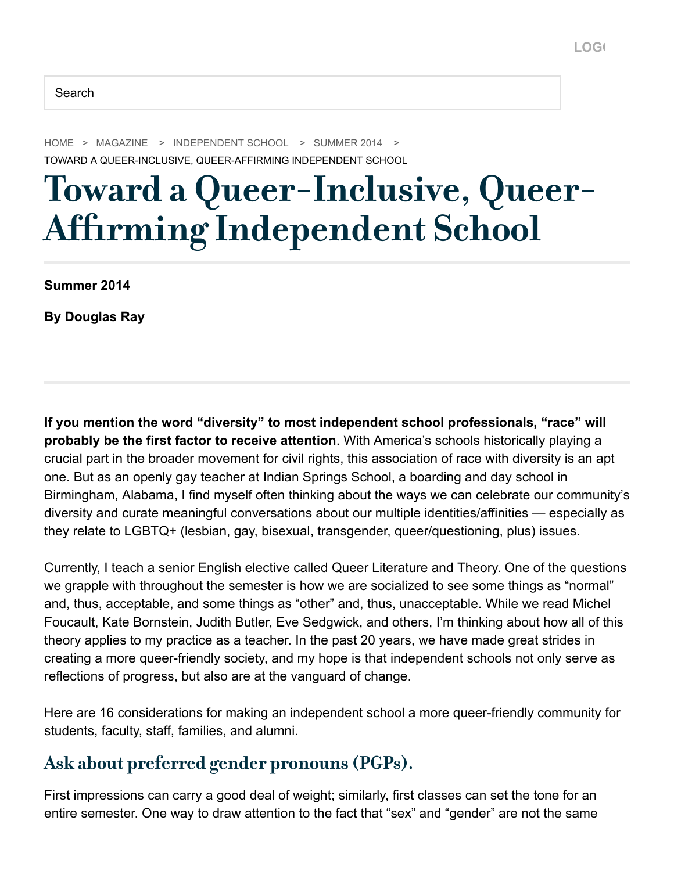[HOME](https://www.nais.org/) > [MAGAZINE](https://www.nais.org/magazine/independent-school/) > [INDEPENDENT SCHOOL](https://www.nais.org/magazine/independent-school/) > [SUMMER 2014](https://www.nais.org/magazine/independent-school/summer-2014/) > TOWARD A QUEER-INCLUSIVE, QUEER-AFFIRMING INDEPENDENT SCHOOL

# Toward a Queer-Inclusive, Queer-Affirming Independent School

**Summer 2014**

**By Douglas Ray**

**If you mention the word "diversity" to most independent school professionals, "race" will probably be the first factor to receive attention**. With America's schools historically playing a crucial part in the broader movement for civil rights, this association of race with diversity is an apt one. But as an openly gay teacher at Indian Springs School, a boarding and day school in Birmingham, Alabama, I find myself often thinking about the ways we can celebrate our community's diversity and curate meaningful conversations about our multiple identities/affinities — especially as they relate to LGBTQ+ (lesbian, gay, bisexual, transgender, queer/questioning, plus) issues.

Currently, I teach a senior English elective called Queer Literature and Theory. One of the questions we grapple with throughout the semester is how we are socialized to see some things as "normal" and, thus, acceptable, and some things as "other" and, thus, unacceptable. While we read Michel Foucault, Kate Bornstein, Judith Butler, Eve Sedgwick, and others, I'm thinking about how all of this theory applies to my practice as a teacher. In the past 20 years, we have made great strides in creating a more queer-friendly society, and my hope is that independent schools not only serve as reflections of progress, but also are at the vanguard of change.

Here are 16 considerations for making an independent school a more queer-friendly community for students, faculty, staff, families, and alumni.

#### Ask about preferred gender pronouns (PGPs).

First impressions can carry a good deal of weight; similarly, first classes can set the tone for an entire semester. One way to draw attention to the fact that "sex" and "gender" are not the same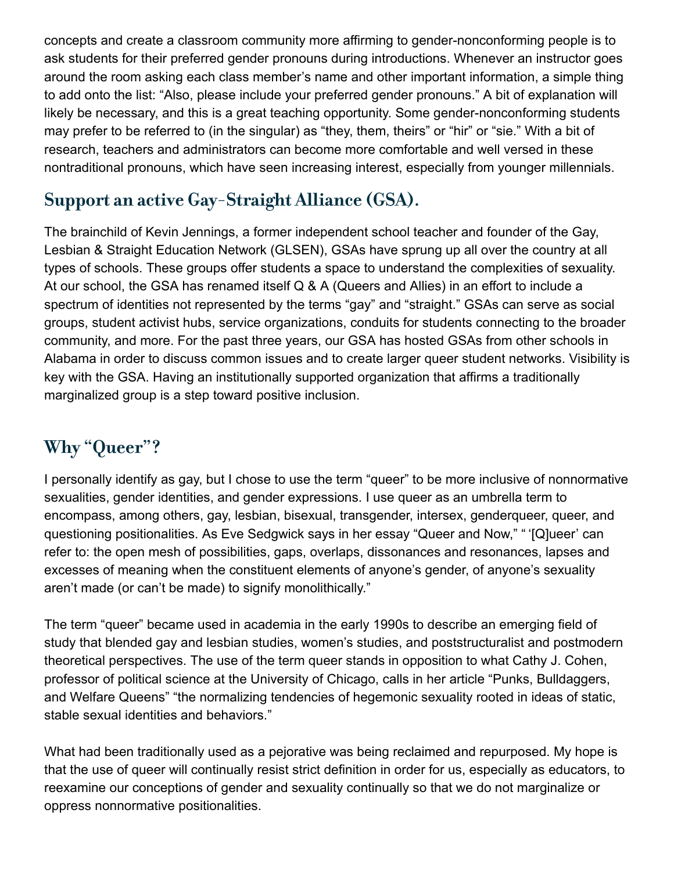concepts and create a classroom community more affirming to gender-nonconforming people is to ask students for their preferred gender pronouns during introductions. Whenever an instructor goes around the room asking each class member's name and other important information, a simple thing to add onto the list: "Also, please include your preferred gender pronouns." A bit of explanation will likely be necessary, and this is a great teaching opportunity. Some gender-nonconforming students may prefer to be referred to (in the singular) as "they, them, theirs" or "hir" or "sie." With a bit of research, teachers and administrators can become more comfortable and well versed in these nontraditional pronouns, which have seen increasing interest, especially from younger millennials.

# Support an active Gay-Straight Alliance (GSA).

The brainchild of Kevin Jennings, a former independent school teacher and founder of the Gay, Lesbian & Straight Education Network (GLSEN), GSAs have sprung up all over the country at all types of schools. These groups offer students a space to understand the complexities of sexuality. At our school, the GSA has renamed itself Q & A (Queers and Allies) in an effort to include a spectrum of identities not represented by the terms "gay" and "straight." GSAs can serve as social groups, student activist hubs, service organizations, conduits for students connecting to the broader community, and more. For the past three years, our GSA has hosted GSAs from other schools in Alabama in order to discuss common issues and to create larger queer student networks. Visibility is key with the GSA. Having an institutionally supported organization that affirms a traditionally marginalized group is a step toward positive inclusion.

# Why "Queer"?

I personally identify as gay, but I chose to use the term "queer" to be more inclusive of nonnormative sexualities, gender identities, and gender expressions. I use queer as an umbrella term to encompass, among others, gay, lesbian, bisexual, transgender, intersex, genderqueer, queer, and questioning positionalities. As Eve Sedgwick says in her essay "Queer and Now," " '[Q]ueer' can refer to: the open mesh of possibilities, gaps, overlaps, dissonances and resonances, lapses and excesses of meaning when the constituent elements of anyone's gender, of anyone's sexuality aren't made (or can't be made) to signify monolithically."

The term "queer" became used in academia in the early 1990s to describe an emerging field of study that blended gay and lesbian studies, women's studies, and poststructuralist and postmodern theoretical perspectives. The use of the term queer stands in opposition to what Cathy J. Cohen, professor of political science at the University of Chicago, calls in her article "Punks, Bulldaggers, and Welfare Queens" "the normalizing tendencies of hegemonic sexuality rooted in ideas of static, stable sexual identities and behaviors."

What had been traditionally used as a pejorative was being reclaimed and repurposed. My hope is that the use of queer will continually resist strict definition in order for us, especially as educators, to reexamine our conceptions of gender and sexuality continually so that we do not marginalize or oppress nonnormative positionalities.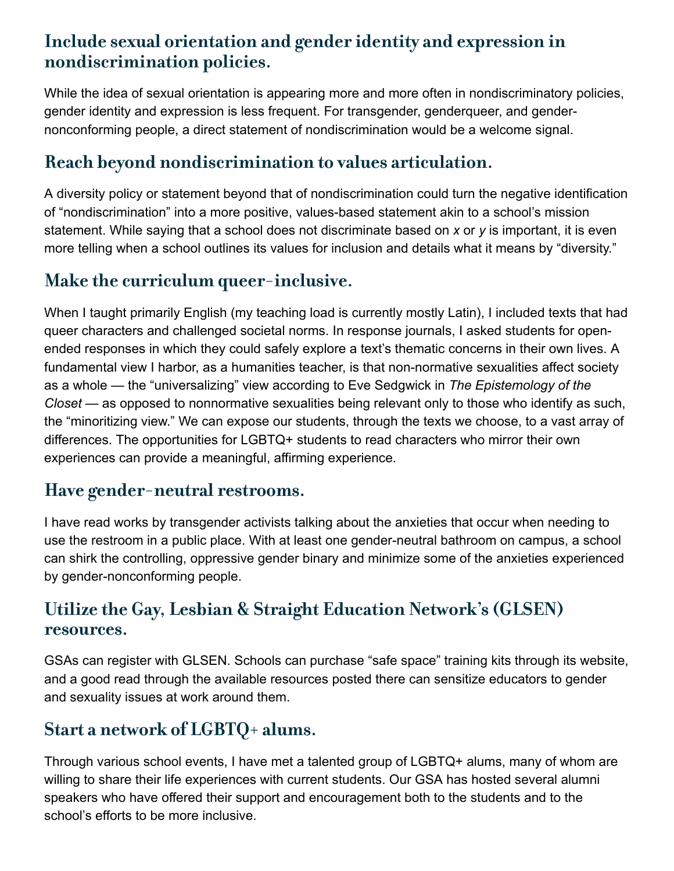# Include sexual orientation and gender identity and expression in nondiscrimination policies.

While the idea of sexual orientation is appearing more and more often in nondiscriminatory policies, gender identity and expression is less frequent. For transgender, genderqueer, and gendernonconforming people, a direct statement of nondiscrimination would be a welcome signal.

# Reach beyond nondiscrimination to values articulation.

A diversity policy or statement beyond that of nondiscrimination could turn the negative identification of "nondiscrimination" into a more positive, values-based statement akin to a school's mission statement. While saying that a school does not discriminate based on *x* or *y* is important, it is even more telling when a school outlines its values for inclusion and details what it means by "diversity."

# Make the curriculum queer-inclusive.

When I taught primarily English (my teaching load is currently mostly Latin), I included texts that had queer characters and challenged societal norms. In response journals, I asked students for openended responses in which they could safely explore a text's thematic concerns in their own lives. A fundamental view I harbor, as a humanities teacher, is that non-normative sexualities affect society as a whole — the "universalizing" view according to Eve Sedgwick in *The Epistemology of the Closet* — as opposed to nonnormative sexualities being relevant only to those who identify as such, the "minoritizing view." We can expose our students, through the texts we choose, to a vast array of differences. The opportunities for LGBTQ+ students to read characters who mirror their own experiences can provide a meaningful, affirming experience.

# Have gender-neutral restrooms.

I have read works by transgender activists talking about the anxieties that occur when needing to use the restroom in a public place. With at least one gender-neutral bathroom on campus, a school can shirk the controlling, oppressive gender binary and minimize some of the anxieties experienced by gender-nonconforming people.

## Utilize the Gay, Lesbian & Straight Education Network's (GLSEN) resources.

GSAs can register with GLSEN. Schools can purchase "safe space" training kits through its website, and a good read through the available resources posted there can sensitize educators to gender and sexuality issues at work around them.

# Start a network of LGBTQ+ alums.

Through various school events, I have met a talented group of LGBTQ+ alums, many of whom are willing to share their life experiences with current students. Our GSA has hosted several alumni speakers who have offered their support and encouragement both to the students and to the school's efforts to be more inclusive.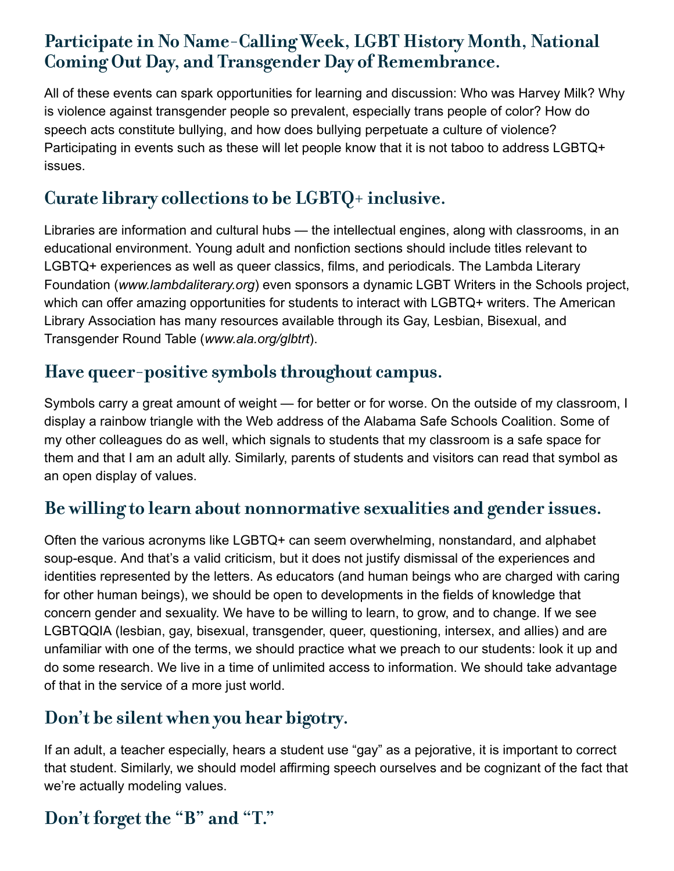# Participate in No Name-Calling Week, LGBT History Month, National Coming Out Day, and Transgender Day of Remembrance.

All of these events can spark opportunities for learning and discussion: Who was Harvey Milk? Why is violence against transgender people so prevalent, especially trans people of color? How do speech acts constitute bullying, and how does bullying perpetuate a culture of violence? Participating in events such as these will let people know that it is not taboo to address LGBTQ+ issues.

# Curate library collections to be LGBTQ+ inclusive.

Libraries are information and cultural hubs — the intellectual engines, along with classrooms, in an educational environment. Young adult and nonfiction sections should include titles relevant to LGBTQ+ experiences as well as queer classics, films, and periodicals. The Lambda Literary Foundation (*www.lambdaliterary.org*) even sponsors a dynamic LGBT Writers in the Schools project, which can offer amazing opportunities for students to interact with LGBTQ+ writers. The American Library Association has many resources available through its Gay, Lesbian, Bisexual, and Transgender Round Table (*www.ala.org/glbtrt*).

# Have queer-positive symbols throughout campus.

Symbols carry a great amount of weight — for better or for worse. On the outside of my classroom, I display a rainbow triangle with the Web address of the Alabama Safe Schools Coalition. Some of my other colleagues do as well, which signals to students that my classroom is a safe space for them and that I am an adult ally. Similarly, parents of students and visitors can read that symbol as an open display of values.

## Be willing to learn about nonnormative sexualities and gender issues.

Often the various acronyms like LGBTQ+ can seem overwhelming, nonstandard, and alphabet soup-esque. And that's a valid criticism, but it does not justify dismissal of the experiences and identities represented by the letters. As educators (and human beings who are charged with caring for other human beings), we should be open to developments in the fields of knowledge that concern gender and sexuality. We have to be willing to learn, to grow, and to change. If we see LGBTQQIA (lesbian, gay, bisexual, transgender, queer, questioning, intersex, and allies) and are unfamiliar with one of the terms, we should practice what we preach to our students: look it up and do some research. We live in a time of unlimited access to information. We should take advantage of that in the service of a more just world.

## Don't be silent when you hear bigotry.

If an adult, a teacher especially, hears a student use "gay" as a pejorative, it is important to correct that student. Similarly, we should model affirming speech ourselves and be cognizant of the fact that we're actually modeling values.

# Don't forget the "B" and "T."